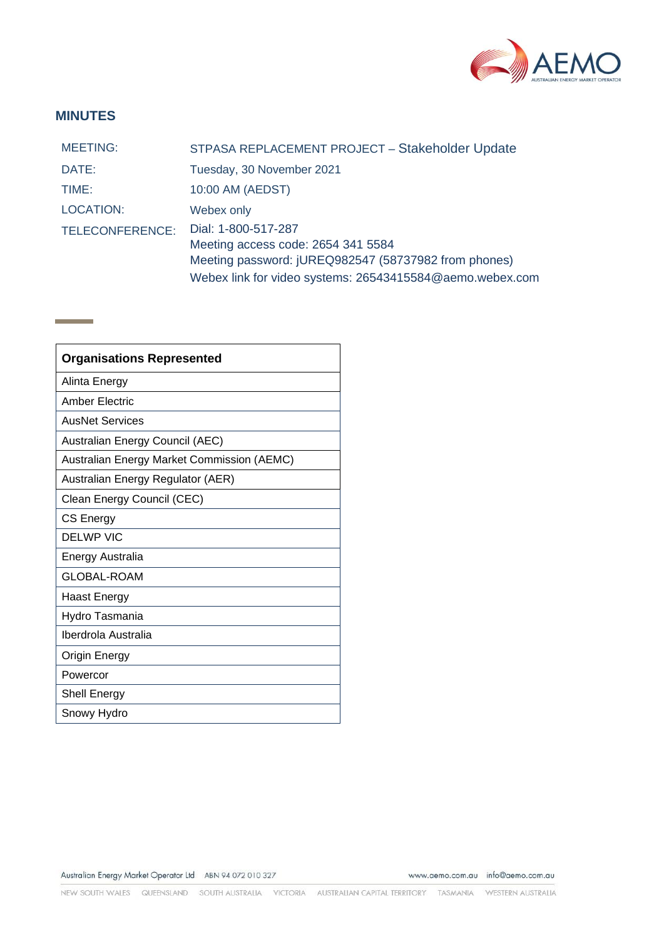

## **MINUTES**

**Contract Contract** 

| <b>MEETING:</b> | STPASA REPLACEMENT PROJECT - Stakeholder Update          |
|-----------------|----------------------------------------------------------|
| DATE:           | Tuesday, 30 November 2021                                |
| TIME:           | 10:00 AM (AEDST)                                         |
| LOCATION:       | Webex only                                               |
| TELECONFERENCE: | Dial: 1-800-517-287                                      |
|                 | Meeting access code: 2654 341 5584                       |
|                 | Meeting password: jUREQ982547 (58737982 from phones)     |
|                 | Webex link for video systems: 26543415584@aemo.webex.com |

| <b>Organisations Represented</b>           |  |
|--------------------------------------------|--|
| Alinta Energy                              |  |
| Amber Electric                             |  |
| <b>AusNet Services</b>                     |  |
| Australian Energy Council (AEC)            |  |
| Australian Energy Market Commission (AEMC) |  |
| Australian Energy Regulator (AER)          |  |
| Clean Energy Council (CEC)                 |  |
| CS Energy                                  |  |
| <b>DELWP VIC</b>                           |  |
| Energy Australia                           |  |
| <b>GLOBAL-ROAM</b>                         |  |
| Haast Energy                               |  |
| Hydro Tasmania                             |  |
| Iberdrola Australia                        |  |
| Origin Energy                              |  |
| Powercor                                   |  |
| Shell Energy                               |  |
| Snowy Hydro                                |  |

Australian Energy Market Operator Ltd ABN 94 072 010 327

www.aemo.com.au info@aemo.com.au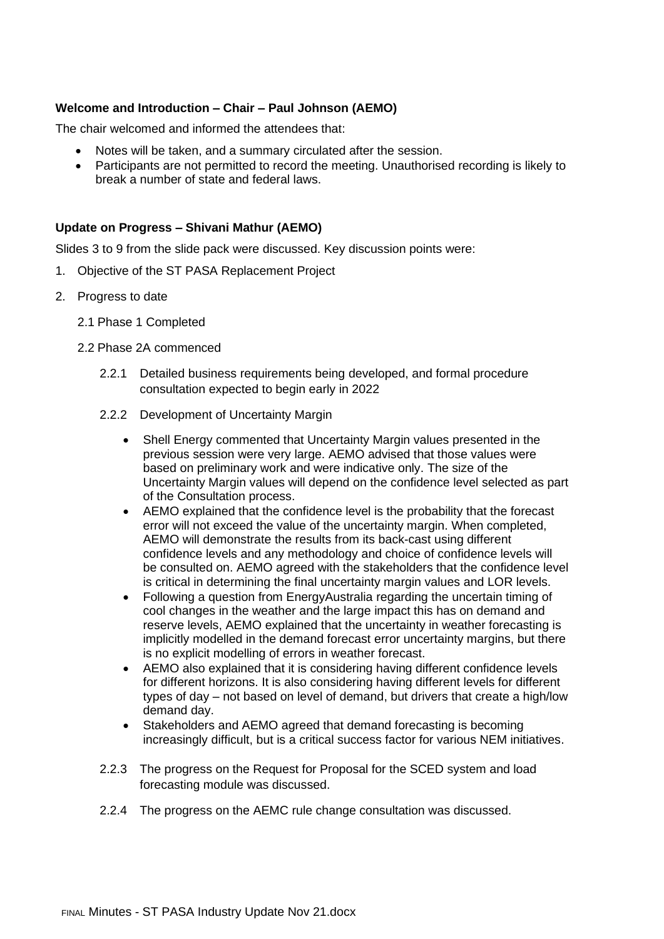## **Welcome and Introduction – Chair – Paul Johnson (AEMO)**

The chair welcomed and informed the attendees that:

- Notes will be taken, and a summary circulated after the session.
- Participants are not permitted to record the meeting. Unauthorised recording is likely to break a number of state and federal laws.

## **Update on Progress – Shivani Mathur (AEMO)**

Slides 3 to 9 from the slide pack were discussed. Key discussion points were:

- 1. Objective of the ST PASA Replacement Project
- 2. Progress to date
	- 2.1 Phase 1 Completed
	- 2.2 Phase 2A commenced
		- 2.2.1 Detailed business requirements being developed, and formal procedure consultation expected to begin early in 2022
		- 2.2.2 Development of Uncertainty Margin
			- Shell Energy commented that Uncertainty Margin values presented in the previous session were very large. AEMO advised that those values were based on preliminary work and were indicative only. The size of the Uncertainty Margin values will depend on the confidence level selected as part of the Consultation process.
			- AEMO explained that the confidence level is the probability that the forecast error will not exceed the value of the uncertainty margin. When completed, AEMO will demonstrate the results from its back-cast using different confidence levels and any methodology and choice of confidence levels will be consulted on. AEMO agreed with the stakeholders that the confidence level is critical in determining the final uncertainty margin values and LOR levels.
			- Following a question from EnergyAustralia regarding the uncertain timing of cool changes in the weather and the large impact this has on demand and reserve levels, AEMO explained that the uncertainty in weather forecasting is implicitly modelled in the demand forecast error uncertainty margins, but there is no explicit modelling of errors in weather forecast.
			- AEMO also explained that it is considering having different confidence levels for different horizons. It is also considering having different levels for different types of day – not based on level of demand, but drivers that create a high/low demand day.
			- Stakeholders and AEMO agreed that demand forecasting is becoming increasingly difficult, but is a critical success factor for various NEM initiatives.
		- 2.2.3 The progress on the Request for Proposal for the SCED system and load forecasting module was discussed.
		- 2.2.4 The progress on the AEMC rule change consultation was discussed.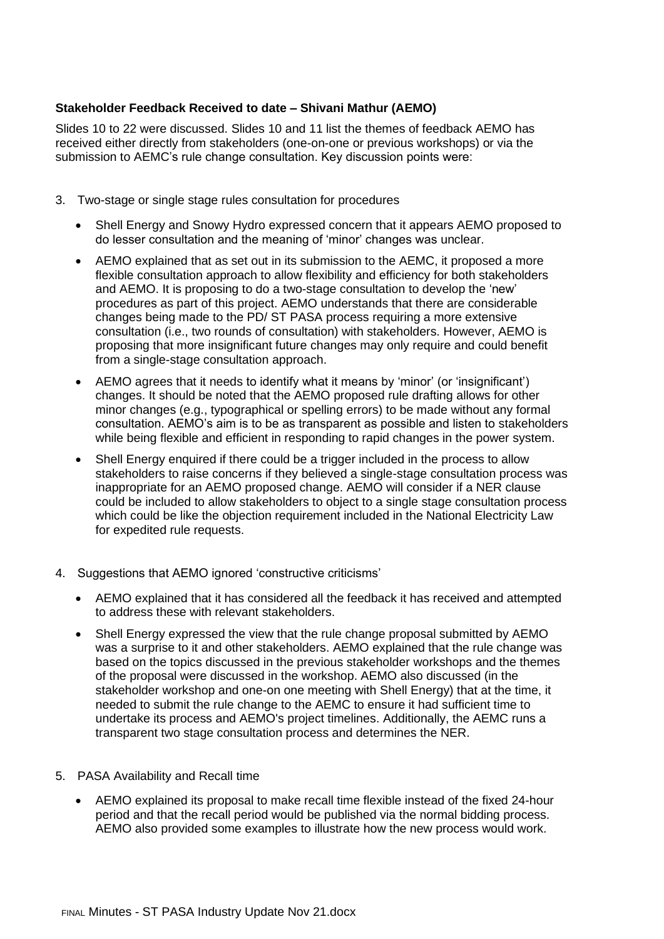## **Stakeholder Feedback Received to date – Shivani Mathur (AEMO)**

Slides 10 to 22 were discussed. Slides 10 and 11 list the themes of feedback AEMO has received either directly from stakeholders (one-on-one or previous workshops) or via the submission to AEMC's rule change consultation. Key discussion points were:

- 3. Two-stage or single stage rules consultation for procedures
	- Shell Energy and Snowy Hydro expressed concern that it appears AEMO proposed to do lesser consultation and the meaning of 'minor' changes was unclear.
	- AEMO explained that as set out in its submission to the AEMC, it proposed a more flexible consultation approach to allow flexibility and efficiency for both stakeholders and AEMO. It is proposing to do a two-stage consultation to develop the 'new' procedures as part of this project. AEMO understands that there are considerable changes being made to the PD/ ST PASA process requiring a more extensive consultation (i.e., two rounds of consultation) with stakeholders. However, AEMO is proposing that more insignificant future changes may only require and could benefit from a single-stage consultation approach.
	- AEMO agrees that it needs to identify what it means by 'minor' (or 'insignificant') changes. It should be noted that the AEMO proposed rule drafting allows for other minor changes (e.g., typographical or spelling errors) to be made without any formal consultation. AEMO's aim is to be as transparent as possible and listen to stakeholders while being flexible and efficient in responding to rapid changes in the power system.
	- Shell Energy enquired if there could be a trigger included in the process to allow stakeholders to raise concerns if they believed a single-stage consultation process was inappropriate for an AEMO proposed change. AEMO will consider if a NER clause could be included to allow stakeholders to object to a single stage consultation process which could be like the objection requirement included in the National Electricity Law for expedited rule requests.
- 4. Suggestions that AEMO ignored 'constructive criticisms'
	- AEMO explained that it has considered all the feedback it has received and attempted to address these with relevant stakeholders.
	- Shell Energy expressed the view that the rule change proposal submitted by AEMO was a surprise to it and other stakeholders. AEMO explained that the rule change was based on the topics discussed in the previous stakeholder workshops and the themes of the proposal were discussed in the workshop. AEMO also discussed (in the stakeholder workshop and one-on one meeting with Shell Energy) that at the time, it needed to submit the rule change to the AEMC to ensure it had sufficient time to undertake its process and AEMO's project timelines. Additionally, the AEMC runs a transparent two stage consultation process and determines the NER.
- 5. PASA Availability and Recall time
	- AEMO explained its proposal to make recall time flexible instead of the fixed 24-hour period and that the recall period would be published via the normal bidding process. AEMO also provided some examples to illustrate how the new process would work.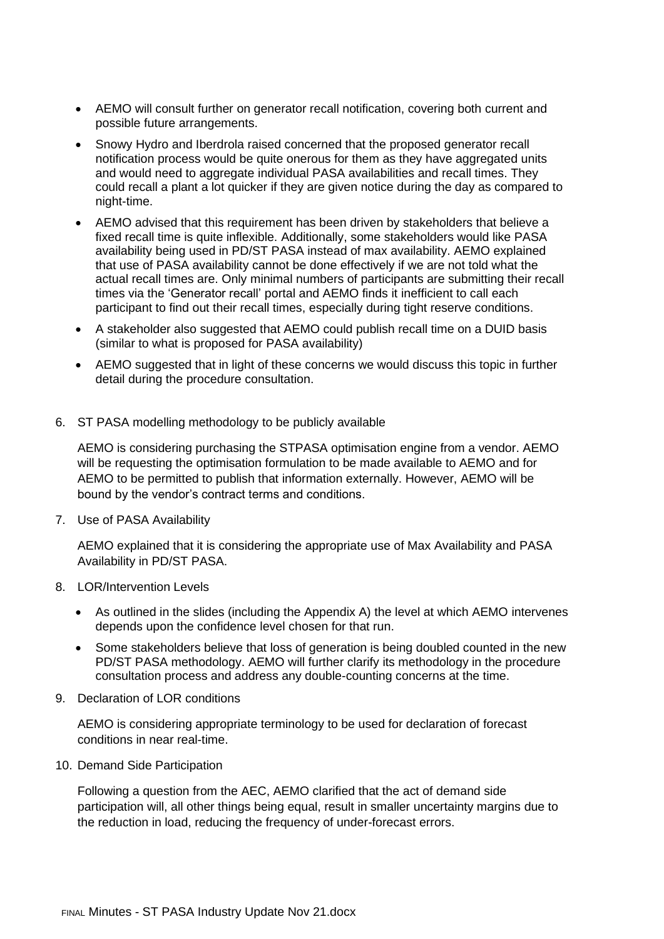- AEMO will consult further on generator recall notification, covering both current and possible future arrangements.
- Snowy Hydro and Iberdrola raised concerned that the proposed generator recall notification process would be quite onerous for them as they have aggregated units and would need to aggregate individual PASA availabilities and recall times. They could recall a plant a lot quicker if they are given notice during the day as compared to night-time.
- AEMO advised that this requirement has been driven by stakeholders that believe a fixed recall time is quite inflexible. Additionally, some stakeholders would like PASA availability being used in PD/ST PASA instead of max availability. AEMO explained that use of PASA availability cannot be done effectively if we are not told what the actual recall times are. Only minimal numbers of participants are submitting their recall times via the 'Generator recall' portal and AEMO finds it inefficient to call each participant to find out their recall times, especially during tight reserve conditions.
- A stakeholder also suggested that AEMO could publish recall time on a DUID basis (similar to what is proposed for PASA availability)
- AEMO suggested that in light of these concerns we would discuss this topic in further detail during the procedure consultation.
- 6. ST PASA modelling methodology to be publicly available

AEMO is considering purchasing the STPASA optimisation engine from a vendor. AEMO will be requesting the optimisation formulation to be made available to AEMO and for AEMO to be permitted to publish that information externally. However, AEMO will be bound by the vendor's contract terms and conditions.

7. Use of PASA Availability

AEMO explained that it is considering the appropriate use of Max Availability and PASA Availability in PD/ST PASA.

- 8. LOR/Intervention Levels
	- As outlined in the slides (including the Appendix A) the level at which AEMO intervenes depends upon the confidence level chosen for that run.
	- Some stakeholders believe that loss of generation is being doubled counted in the new PD/ST PASA methodology. AEMO will further clarify its methodology in the procedure consultation process and address any double-counting concerns at the time.
- 9. Declaration of LOR conditions

AEMO is considering appropriate terminology to be used for declaration of forecast conditions in near real-time.

10. Demand Side Participation

Following a question from the AEC, AEMO clarified that the act of demand side participation will, all other things being equal, result in smaller uncertainty margins due to the reduction in load, reducing the frequency of under-forecast errors.